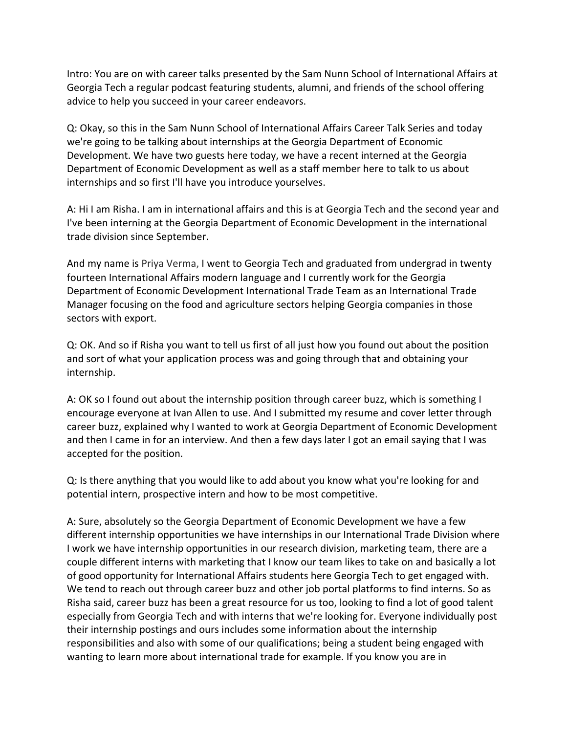Intro: You are on with career talks presented by the Sam Nunn School of International Affairs at Georgia Tech a regular podcast featuring students, alumni, and friends of the school offering advice to help you succeed in your career endeavors.

Q: Okay, so this in the Sam Nunn School of International Affairs Career Talk Series and today we're going to be talking about internships at the Georgia Department of Economic Development. We have two guests here today, we have a recent interned at the Georgia Department of Economic Development as well as a staff member here to talk to us about internships and so first I'll have you introduce yourselves.

A: Hi I am Risha. I am in international affairs and this is at Georgia Tech and the second year and I've been interning at the Georgia Department of Economic Development in the international trade division since September.

And my name is Priya Verma, I went to Georgia Tech and graduated from undergrad in twenty fourteen International Affairs modern language and I currently work for the Georgia Department of Economic Development International Trade Team as an International Trade Manager focusing on the food and agriculture sectors helping Georgia companies in those sectors with export.

Q: OK. And so if Risha you want to tell us first of all just how you found out about the position and sort of what your application process was and going through that and obtaining your internship. 

A: OK so I found out about the internship position through career buzz, which is something I encourage everyone at Ivan Allen to use. And I submitted my resume and cover letter through career buzz, explained why I wanted to work at Georgia Department of Economic Development and then I came in for an interview. And then a few days later I got an email saying that I was accepted for the position.

Q: Is there anything that you would like to add about you know what you're looking for and potential intern, prospective intern and how to be most competitive.

A: Sure, absolutely so the Georgia Department of Economic Development we have a few different internship opportunities we have internships in our International Trade Division where I work we have internship opportunities in our research division, marketing team, there are a couple different interns with marketing that I know our team likes to take on and basically a lot of good opportunity for International Affairs students here Georgia Tech to get engaged with. We tend to reach out through career buzz and other job portal platforms to find interns. So as Risha said, career buzz has been a great resource for us too, looking to find a lot of good talent especially from Georgia Tech and with interns that we're looking for. Everyone individually post their internship postings and ours includes some information about the internship responsibilities and also with some of our qualifications; being a student being engaged with wanting to learn more about international trade for example. If you know you are in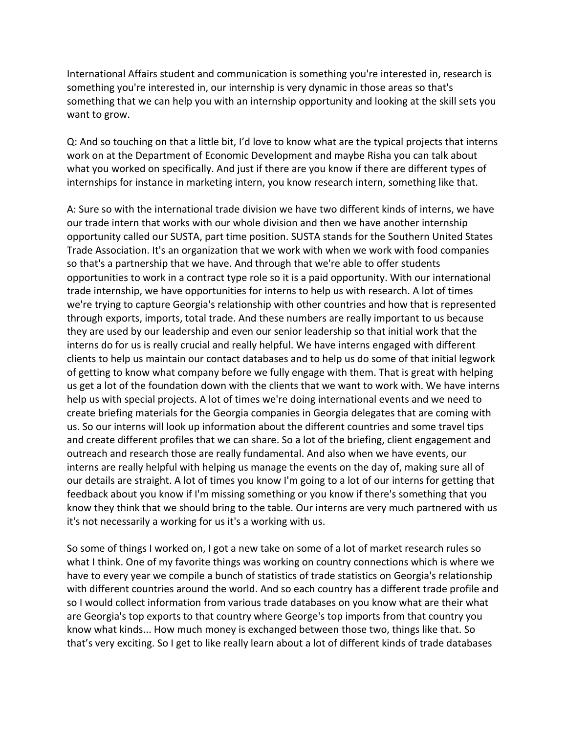International Affairs student and communication is something you're interested in, research is something you're interested in, our internship is very dynamic in those areas so that's something that we can help you with an internship opportunity and looking at the skill sets you want to grow.

Q: And so touching on that a little bit, I'd love to know what are the typical projects that interns work on at the Department of Economic Development and maybe Risha you can talk about what you worked on specifically. And just if there are you know if there are different types of internships for instance in marketing intern, you know research intern, something like that.

A: Sure so with the international trade division we have two different kinds of interns, we have our trade intern that works with our whole division and then we have another internship opportunity called our SUSTA, part time position. SUSTA stands for the Southern United States Trade Association. It's an organization that we work with when we work with food companies so that's a partnership that we have. And through that we're able to offer students opportunities to work in a contract type role so it is a paid opportunity. With our international trade internship, we have opportunities for interns to help us with research. A lot of times we're trying to capture Georgia's relationship with other countries and how that is represented through exports, imports, total trade. And these numbers are really important to us because they are used by our leadership and even our senior leadership so that initial work that the interns do for us is really crucial and really helpful. We have interns engaged with different clients to help us maintain our contact databases and to help us do some of that initial legwork of getting to know what company before we fully engage with them. That is great with helping us get a lot of the foundation down with the clients that we want to work with. We have interns help us with special projects. A lot of times we're doing international events and we need to create briefing materials for the Georgia companies in Georgia delegates that are coming with us. So our interns will look up information about the different countries and some travel tips and create different profiles that we can share. So a lot of the briefing, client engagement and outreach and research those are really fundamental. And also when we have events, our interns are really helpful with helping us manage the events on the day of, making sure all of our details are straight. A lot of times you know I'm going to a lot of our interns for getting that feedback about you know if I'm missing something or you know if there's something that you know they think that we should bring to the table. Our interns are very much partnered with us it's not necessarily a working for us it's a working with us.

So some of things I worked on, I got a new take on some of a lot of market research rules so what I think. One of my favorite things was working on country connections which is where we have to every year we compile a bunch of statistics of trade statistics on Georgia's relationship with different countries around the world. And so each country has a different trade profile and so I would collect information from various trade databases on you know what are their what are Georgia's top exports to that country where George's top imports from that country you know what kinds... How much money is exchanged between those two, things like that. So that's very exciting. So I get to like really learn about a lot of different kinds of trade databases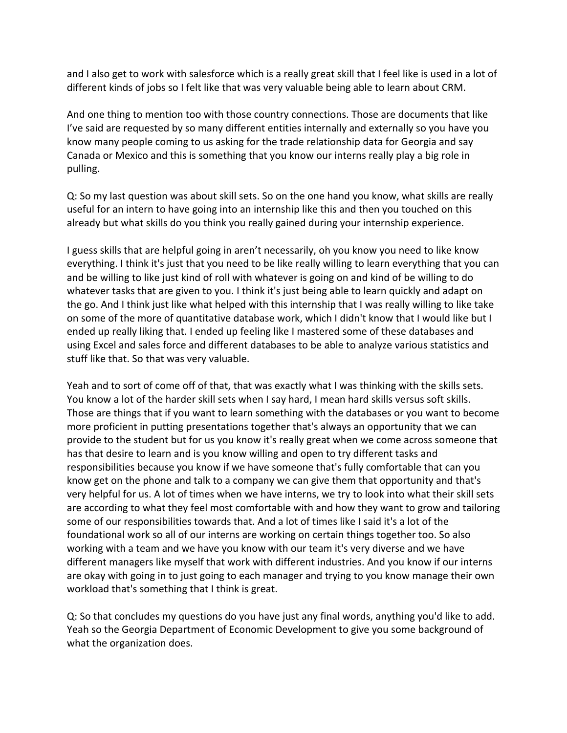and I also get to work with salesforce which is a really great skill that I feel like is used in a lot of different kinds of jobs so I felt like that was very valuable being able to learn about CRM.

And one thing to mention too with those country connections. Those are documents that like I've said are requested by so many different entities internally and externally so you have you know many people coming to us asking for the trade relationship data for Georgia and say Canada or Mexico and this is something that you know our interns really play a big role in pulling.

Q: So my last question was about skill sets. So on the one hand you know, what skills are really useful for an intern to have going into an internship like this and then you touched on this already but what skills do you think you really gained during your internship experience.

I guess skills that are helpful going in aren't necessarily, oh you know you need to like know everything. I think it's just that you need to be like really willing to learn everything that you can and be willing to like just kind of roll with whatever is going on and kind of be willing to do whatever tasks that are given to you. I think it's just being able to learn quickly and adapt on the go. And I think just like what helped with this internship that I was really willing to like take on some of the more of quantitative database work, which I didn't know that I would like but I ended up really liking that. I ended up feeling like I mastered some of these databases and using Excel and sales force and different databases to be able to analyze various statistics and stuff like that. So that was very valuable.

Yeah and to sort of come off of that, that was exactly what I was thinking with the skills sets. You know a lot of the harder skill sets when I say hard, I mean hard skills versus soft skills. Those are things that if you want to learn something with the databases or you want to become more proficient in putting presentations together that's always an opportunity that we can provide to the student but for us you know it's really great when we come across someone that has that desire to learn and is you know willing and open to try different tasks and responsibilities because you know if we have someone that's fully comfortable that can you know get on the phone and talk to a company we can give them that opportunity and that's very helpful for us. A lot of times when we have interns, we try to look into what their skill sets are according to what they feel most comfortable with and how they want to grow and tailoring some of our responsibilities towards that. And a lot of times like I said it's a lot of the foundational work so all of our interns are working on certain things together too. So also working with a team and we have you know with our team it's very diverse and we have different managers like myself that work with different industries. And you know if our interns are okay with going in to just going to each manager and trying to you know manage their own workload that's something that I think is great.

Q: So that concludes my questions do you have just any final words, anything you'd like to add. Yeah so the Georgia Department of Economic Development to give you some background of what the organization does.